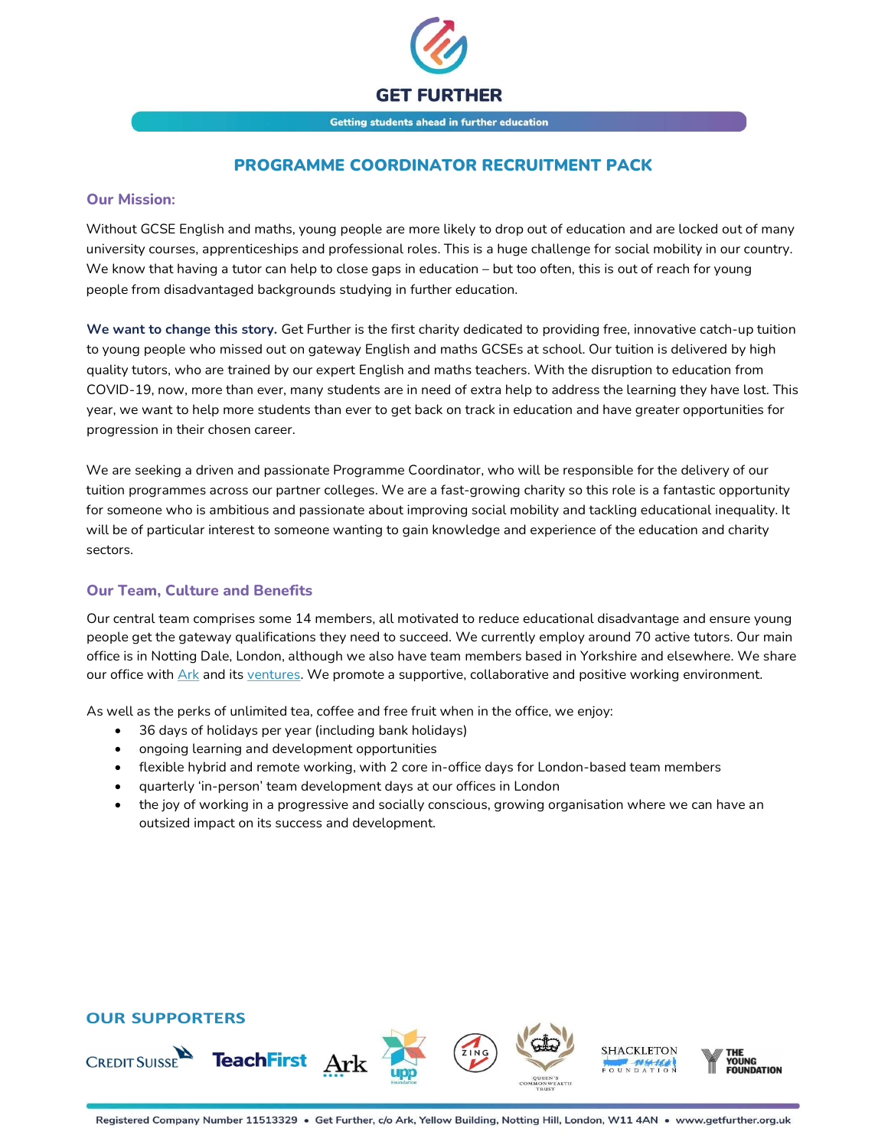

## PROGRAMME COORDINATOR RECRUITMENT PACK

### Our Mission:

Without GCSE English and maths, young people are more likely to drop out of education and are locked out of many university courses, apprenticeships and professional roles. This is a huge challenge for social mobility in our country. We know that having a tutor can help to close gaps in education – but too often, this is out of reach for young people from disadvantaged backgrounds studying in further education.

We want to change this story. Get Further is the first charity dedicated to providing free, innovative catch-up tuition to young people who missed out on gateway English and maths GCSEs at school. Our tuition is delivered by high quality tutors, who are trained by our expert English and maths teachers. With the disruption to education from COVID-19, now, more than ever, many students are in need of extra help to address the learning they have lost. This year, we want to help more students than ever to get back on track in education and have greater opportunities for progression in their chosen career.

We are seeking a driven and passionate Programme Coordinator, who will be responsible for the delivery of our tuition programmes across our partner colleges. We are a fast-growing charity so this role is a fantastic opportunity for someone who is ambitious and passionate about improving social mobility and tackling educational inequality. It will be of particular interest to someone wanting to gain knowledge and experience of the education and charity sectors.

### Our Team, Culture and Benefits

Our central team comprises some 14 members, all motivated to reduce educational disadvantage and ensure young people get the gateway qualifications they need to succeed. We currently employ around 70 active tutors. Our main office is in Notting Dale, London, although we also have team members based in Yorkshire and elsewhere. We share our office with Ark and its ventures. We promote a supportive, collaborative and positive working environment.

As well as the perks of unlimited tea, coffee and free fruit when in the office, we enjoy:

- 36 days of holidays per year (including bank holidays)
- ongoing learning and development opportunities
- flexible hybrid and remote working, with 2 core in-office days for London-based team members
- quarterly 'in-person' team development days at our offices in London
- the joy of working in a progressive and socially conscious, growing organisation where we can have an outsized impact on its success and development.

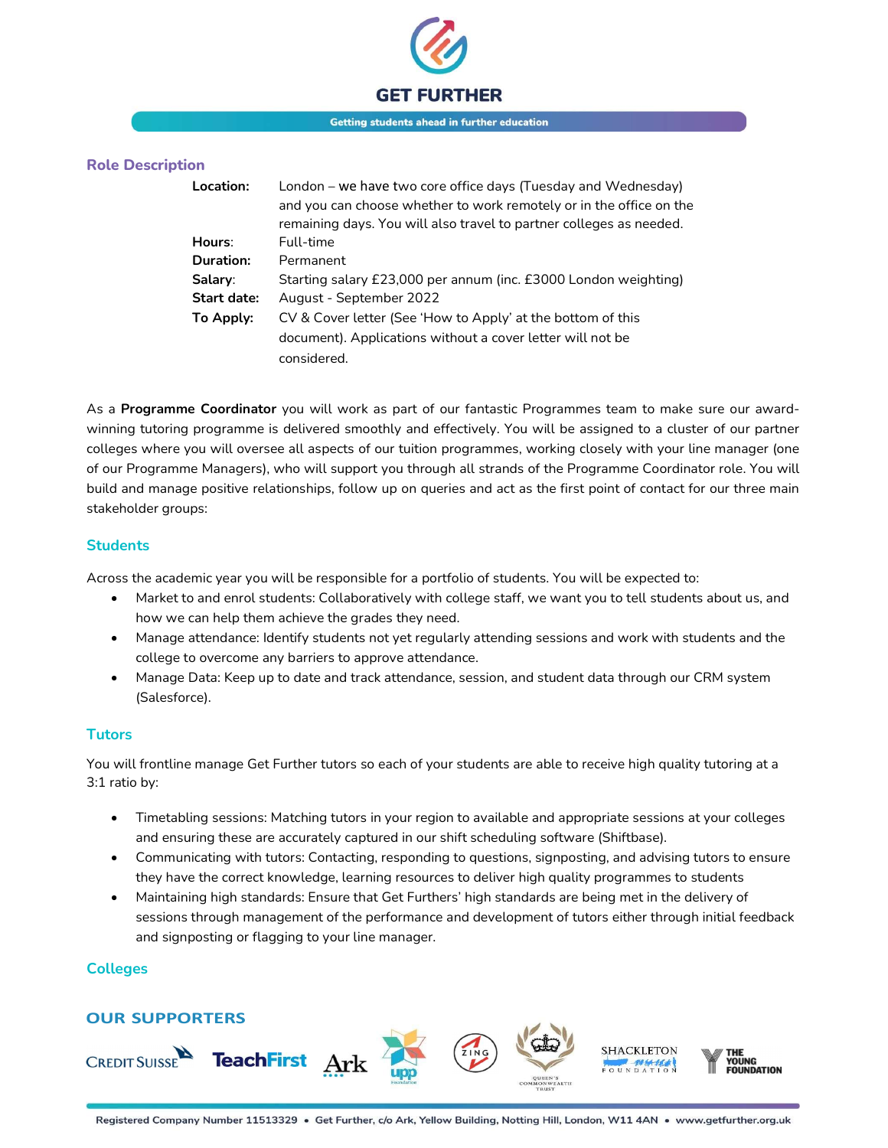

### Role Description

| Location:        | London – we have two core office days (Tuesday and Wednesday)       |
|------------------|---------------------------------------------------------------------|
|                  | and you can choose whether to work remotely or in the office on the |
|                  | remaining days. You will also travel to partner colleges as needed. |
| Hours:           | Full-time                                                           |
| <b>Duration:</b> | Permanent                                                           |
| Salary:          | Starting salary £23,000 per annum (inc. £3000 London weighting)     |
| Start date:      | August - September 2022                                             |
| To Apply:        | CV & Cover letter (See 'How to Apply' at the bottom of this         |
|                  | document). Applications without a cover letter will not be          |
|                  | considered.                                                         |

As a Programme Coordinator you will work as part of our fantastic Programmes team to make sure our awardwinning tutoring programme is delivered smoothly and effectively. You will be assigned to a cluster of our partner colleges where you will oversee all aspects of our tuition programmes, working closely with your line manager (one of our Programme Managers), who will support you through all strands of the Programme Coordinator role. You will build and manage positive relationships, follow up on queries and act as the first point of contact for our three main stakeholder groups:

### **Students**

Across the academic year you will be responsible for a portfolio of students. You will be expected to:

- Market to and enrol students: Collaboratively with college staff, we want you to tell students about us, and how we can help them achieve the grades they need.
- Manage attendance: Identify students not yet regularly attending sessions and work with students and the college to overcome any barriers to approve attendance.
- Manage Data: Keep up to date and track attendance, session, and student data through our CRM system (Salesforce).

### **Tutors**

You will frontline manage Get Further tutors so each of your students are able to receive high quality tutoring at a 3:1 ratio by:

- Timetabling sessions: Matching tutors in your region to available and appropriate sessions at your colleges and ensuring these are accurately captured in our shift scheduling software (Shiftbase).
- Communicating with tutors: Contacting, responding to questions, signposting, and advising tutors to ensure they have the correct knowledge, learning resources to deliver high quality programmes to students
- Maintaining high standards: Ensure that Get Furthers' high standards are being met in the delivery of sessions through management of the performance and development of tutors either through initial feedback and signposting or flagging to your line manager.

### Colleges

### OUR SUPPORTERS

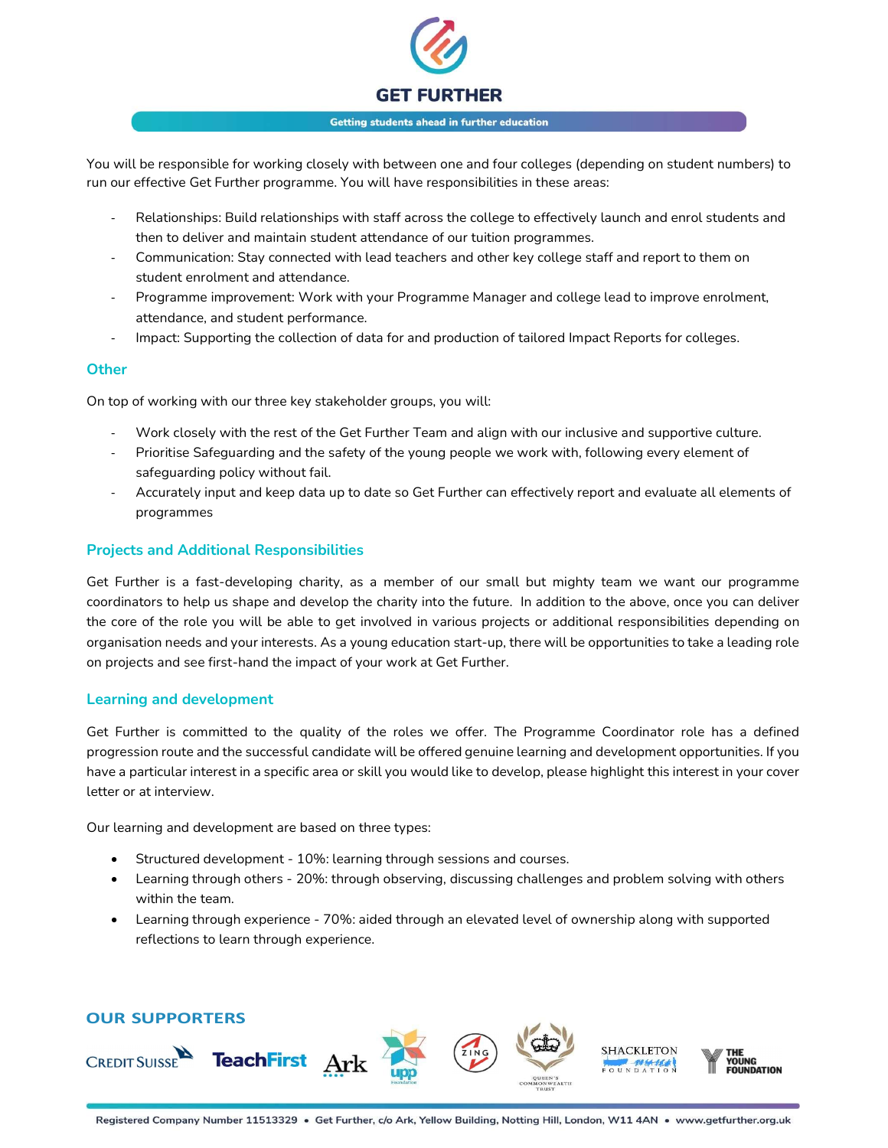

You will be responsible for working closely with between one and four colleges (depending on student numbers) to run our effective Get Further programme. You will have responsibilities in these areas:

- Relationships: Build relationships with staff across the college to effectively launch and enrol students and then to deliver and maintain student attendance of our tuition programmes.
- Communication: Stay connected with lead teachers and other key college staff and report to them on student enrolment and attendance.
- Programme improvement: Work with your Programme Manager and college lead to improve enrolment, attendance, and student performance.
- Impact: Supporting the collection of data for and production of tailored Impact Reports for colleges.

### **Other**

On top of working with our three key stakeholder groups, you will:

- Work closely with the rest of the Get Further Team and align with our inclusive and supportive culture.
- Prioritise Safeguarding and the safety of the young people we work with, following every element of safeguarding policy without fail.
- Accurately input and keep data up to date so Get Further can effectively report and evaluate all elements of programmes

### Projects and Additional Responsibilities

Get Further is a fast-developing charity, as a member of our small but mighty team we want our programme coordinators to help us shape and develop the charity into the future. In addition to the above, once you can deliver the core of the role you will be able to get involved in various projects or additional responsibilities depending on organisation needs and your interests. As a young education start-up, there will be opportunities to take a leading role on projects and see first-hand the impact of your work at Get Further.

### Learning and development

Get Further is committed to the quality of the roles we offer. The Programme Coordinator role has a defined progression route and the successful candidate will be offered genuine learning and development opportunities. If you have a particular interest in a specific area or skill you would like to develop, please highlight this interest in your cover letter or at interview.

Our learning and development are based on three types:

- Structured development 10%: learning through sessions and courses.
- Learning through others 20%: through observing, discussing challenges and problem solving with others within the team.
- Learning through experience 70%: aided through an elevated level of ownership along with supported reflections to learn through experience.

# OUR SUPPORTERS